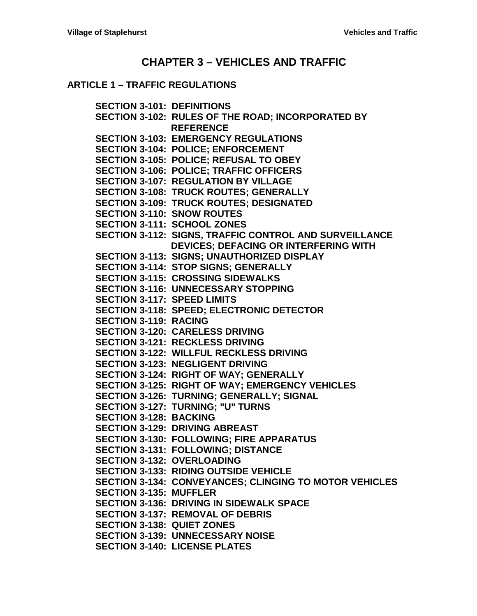## **CHAPTER 3 – [VEHICLES AND TRAFFIC](#page-4-0)**

### **ARTICLE 1 – [TRAFFIC REGULATIONS](#page-4-1)**

**[SECTION 3-101: DEFINITIONS](#page-4-2) [SECTION 3-102: RULES OF THE ROAD; INCORPORATED BY](#page-4-3) [REFERENCE](#page-4-3) [SECTION 3-103: EMERGENCY REGULATIONS](#page-4-4) [SECTION 3-104: POLICE; ENFORCEMENT](#page-4-5) [SECTION 3-105: POLICE; REFUSAL TO OBEY](#page-4-6) [SECTION 3-106: POLICE; TRAFFIC OFFICERS](#page-4-7) [SECTION 3-107: REGULATION BY VILLAGE](#page-5-0) [SECTION 3-108: TRUCK ROUTES; GENERALLY](#page-5-1) [SECTION 3-109: TRUCK ROUTES; DESIGNATED](#page-5-2) [SECTION 3-110: SNOW ROUTES](#page-5-3) [SECTION 3-111: SCHOOL ZONES](#page-6-0) [SECTION 3-112: SIGNS, TRAFFIC](#page-6-1) CONTROL AND SURVEILLANCE [DEVICES; DEFACING OR](#page-6-1) INTERFERING WITH [SECTION 3-113: SIGNS; UNAUTHORIZED DISPLAY](#page-6-2) [SECTION 3-114: STOP SIGNS; GENERALLY](#page-6-3) [SECTION 3-115: CROSSING SIDEWALKS](#page-6-4) [SECTION 3-116: UNNECESSARY STOPPING](#page-7-0) [SECTION 3-117: SPEED LIMITS](#page-7-1) [SECTION 3-118: SPEED; ELECTRONIC DETECTOR](#page-7-2) [SECTION 3-119: RACING](#page-7-3) [SECTION 3-120: CARELESS DRIVING](#page-8-0) [SECTION 3-121: RECKLESS DRIVING](#page-8-1) [SECTION 3-122: WILLFUL RECKLESS DRIVING](#page-8-2) [SECTION 3-123: NEGLIGENT DRIVING](#page-8-3) [SECTION 3-124: RIGHT OF WAY; GENERALLY](#page-8-4) [SECTION 3-125: RIGHT OF WAY; EMERGENCY](#page-9-0) VEHICLES [SECTION 3-126: TURNING; GENERALLY; SIGNAL](#page-9-1) [SECTION 3-127: TURNING; "U" TURNS](#page-9-2) [SECTION 3-128: BACKING](#page-10-0) [SECTION 3-129: DRIVING ABREAST](#page-10-1) [SECTION 3-130: FOLLOWING; FIRE APPARATUS](#page-10-2) [SECTION 3-131: FOLLOWING; DISTANCE](#page-10-3) [SECTION 3-132: OVERLOADING](#page-10-4) [SECTION 3-133: RIDING OUTSIDE](#page-10-5) VEHICLE [SECTION 3-134: CONVEYANCES; CLINGING TO MOTOR VEHICLES](#page-10-6) [SECTION 3-135: MUFFLER](#page-11-0) [SECTION 3-136: DRIVING IN SIDEWALK SPACE](#page-11-1) [SECTION 3-137: REMOVAL OF DEBRIS](#page-11-2) [SECTION 3-138: QUIET ZONES](#page-11-3) [SECTION 3-139: UNNECESSARY NOISE](#page-11-4) [SECTION 3-140: LICENSE PLATES](#page-11-5)**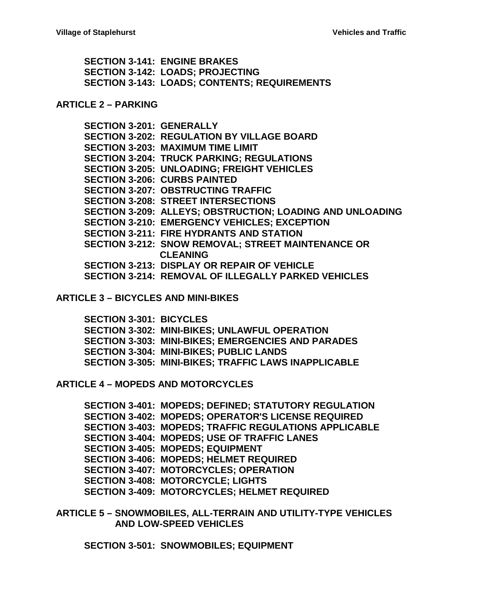**[SECTION 3-141: ENGINE BRAKES](#page-12-0) [SECTION 3-142: LOADS; PROJECTING](#page-12-1) [SECTION 3-143: LOADS; CONTENTS; REQUIREMENTS](#page-12-2)**

#### **[ARTICLE 2 –](#page-13-0) PARKING**

**[SECTION 3-201: GENERALLY](#page-13-1) [SECTION 3-202: REGULATION BY VILLAGE BOARD](#page-13-2) [SECTION 3-203: MAXIMUM TIME LIMIT](#page-13-3) [SECTION 3-204: TRUCK PARKING;](#page-13-4) REGULATIONS [SECTION 3-205: UNLOADING; FREIGHT VEHICLES](#page-14-0) [SECTION 3-206: CURBS PAINTED](#page-14-1) [SECTION 3-207: OBSTRUCTING TRAFFIC](#page-14-2) [SECTION 3-208: STREET INTERSECTIONS](#page-14-3) [SECTION 3-209: ALLEYS; OBSTRUCTION; LOADING AND UNLOADING](#page-14-4) [SECTION 3-210: EMERGENCY VEHICLES; EXCEPTION](#page-15-0) [SECTION 3-211: FIRE HYDRANTS AND STATION](#page-15-1) [SECTION 3-212: SNOW REMOVAL; STREET](#page-15-2) MAINTENANCE OR [CLEANING](#page-15-2) [SECTION 3-213: DISPLAY OR REPAIR OF VEHICLE](#page-15-3) [SECTION 3-214: REMOVAL OF ILLEGALLY PARKED VEHICLES](#page-16-0)**

#### **ARTICLE 3 – [BICYCLES AND MINI-BIKES](#page-17-0)**

**[SECTION 3-301: BICYCLES](#page-17-1) [SECTION 3-302: MINI-BIKES; UNLAWFUL OPERATION](#page-18-0) [SECTION 3-303: MINI-BIKES; EMERGENCIES AND PARADES](#page-19-0) [SECTION 3-304: MINI-BIKES; PUBLIC LANDS](#page-19-1) [SECTION 3-305: MINI-BIKES; TRAFFIC LAWS INAPPLICABLE](#page-19-2)**

**ARTICLE 4 – [MOPEDS AND MOTORCYCLES](#page-20-0)**

**[SECTION 3-401: MOPEDS; DEFINED; STATUTORY REGULATION](#page-20-1) [SECTION 3-402: MOPEDS; OPERATOR'S LICENSE REQUIRED](#page-20-2) [SECTION 3-403: MOPEDS; TRAFFIC REGULATIONS APPLICABLE](#page-20-3) [SECTION 3-404: MOPEDS; USE OF](#page-20-4) TRAFFIC LANES [SECTION 3-405: MOPEDS; EQUIPMENT](#page-21-0) [SECTION 3-406: MOPEDS; HELMET](#page-21-1) REQUIRED [SECTION 3-407: MOTORCYCLES; OPERATION](#page-21-2) [SECTION 3-408: MOTORCYCLE; LIGHTS](#page-22-0) [SECTION 3-409: MOTORCYCLES; HELMET REQUIRED](#page-22-1)**

**ARTICLE 5 – [SNOWMOBILES, ALL-TERRAIN AND UTILITY-TYPE VEHICLES](#page-24-0)  [AND LOW-SPEED VEHICLES](#page-24-0)**

**[SECTION 3-501: SNOWMOBILES; EQUIPMENT](#page-24-1)**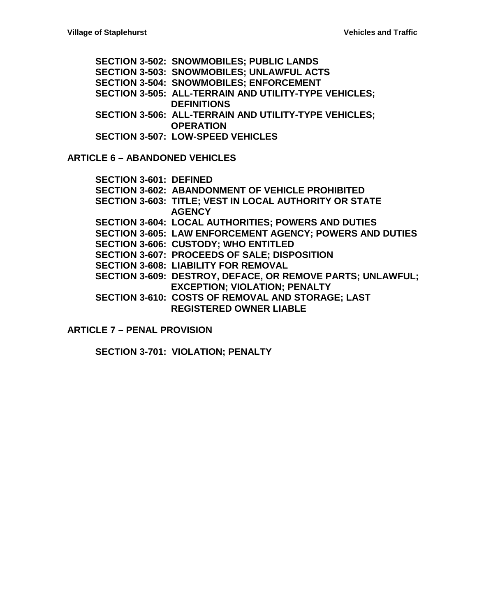**[SECTION 3-502: SNOWMOBILES; PUBLIC LANDS](#page-24-2) [SECTION 3-503: SNOWMOBILES; UNLAWFUL ACTS](#page-24-3) [SECTION 3-504: SNOWMOBILES; ENFORCEMENT](#page-25-0) [SECTION 3-505: ALL-TERRAIN AND UTILITY-TYPE VEHICLES;](#page-25-1)  [DEFINITIONS](#page-25-1) [SECTION 3-506: ALL-TERRAIN AND UTILITY-TYPE VEHICLES;](#page-25-2)  [OPERATION](#page-25-2) [SECTION 3-507: LOW-SPEED VEHICLES](#page-26-0)**

**ARTICLE 6 – [ABANDONED VEHICLES](#page-28-0)**

| <b>SECTION 3-601: DEFINED</b> |                                                                   |
|-------------------------------|-------------------------------------------------------------------|
|                               | <b>SECTION 3-602: ABANDONMENT OF VEHICLE PROHIBITED</b>           |
|                               | SECTION 3-603: TITLE; VEST IN LOCAL AUTHORITY OR STATE            |
|                               | <b>AGENCY</b>                                                     |
|                               | <b>SECTION 3-604: LOCAL AUTHORITIES; POWERS AND DUTIES</b>        |
|                               | <b>SECTION 3-605: LAW ENFORCEMENT AGENCY; POWERS AND DUTIES</b>   |
|                               | <b>SECTION 3-606: CUSTODY; WHO ENTITLED</b>                       |
|                               | SECTION 3-607: PROCEEDS OF SALE; DISPOSITION                      |
|                               | <b>SECTION 3-608: LIABILITY FOR REMOVAL</b>                       |
|                               | <b>SECTION 3-609: DESTROY, DEFACE, OR REMOVE PARTS; UNLAWFUL;</b> |
|                               | <b>EXCEPTION; VIOLATION; PENALTY</b>                              |
|                               | SECTION 3-610: COSTS OF REMOVAL AND STORAGE; LAST                 |
|                               | <b>REGISTERED OWNER LIABLE</b>                                    |

**ARTICLE 7 – [PENAL PROVISION](#page-32-0)**

**[SECTION 3-701: VIOLATION; PENALTY](#page-32-1)**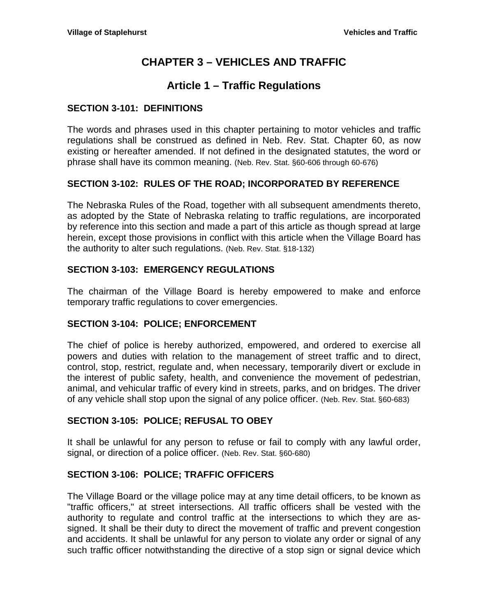# **CHAPTER 3 – VEHICLES AND TRAFFIC**

# **Article 1 – Traffic Regulations**

## <span id="page-4-2"></span><span id="page-4-1"></span><span id="page-4-0"></span>**SECTION 3-101: DEFINITIONS**

The words and phrases used in this chapter pertaining to motor vehicles and traffic regulations shall be construed as defined in Neb. Rev. Stat. Chapter 60, as now existing or hereafter amended. If not defined in the designated statutes, the word or phrase shall have its common meaning. (Neb. Rev. Stat. §60-606 through 60-676)

## <span id="page-4-3"></span>**SECTION 3-102: RULES OF THE ROAD; INCORPORATED BY REFERENCE**

The Nebraska Rules of the Road, together with all subsequent amendments thereto, as adopted by the State of Nebraska relating to traffic regulations, are incorporated by reference into this section and made a part of this article as though spread at large herein, except those provisions in conflict with this article when the Village Board has the authority to alter such regulations. (Neb. Rev. Stat. §18-132)

## <span id="page-4-4"></span>**SECTION 3-103: EMERGENCY REGULATIONS**

The chairman of the Village Board is hereby empowered to make and enforce temporary traffic regulations to cover emergencies.

## <span id="page-4-5"></span>**SECTION 3-104: POLICE; ENFORCEMENT**

The chief of police is hereby authorized, empowered, and ordered to exercise all powers and duties with relation to the management of street traffic and to direct, control, stop, restrict, regulate and, when necessary, temporarily divert or exclude in the interest of public safety, health, and convenience the movement of pedestrian, animal, and vehicular traffic of every kind in streets, parks, and on bridges. The driver of any vehicle shall stop upon the signal of any police officer. (Neb. Rev. Stat. §60-683)

## <span id="page-4-6"></span>**SECTION 3-105: POLICE; REFUSAL TO OBEY**

It shall be unlawful for any person to refuse or fail to comply with any lawful order, signal, or direction of a police officer. (Neb. Rev. Stat. §60-680)

### <span id="page-4-7"></span>**SECTION 3-106: POLICE; TRAFFIC OFFICERS**

The Village Board or the village police may at any time detail officers, to be known as "traffic officers," at street intersections. All traffic officers shall be vested with the authority to regulate and control traffic at the intersections to which they are assigned. It shall be their duty to direct the movement of traffic and prevent congestion and accidents. It shall be unlawful for any person to violate any order or signal of any such traffic officer notwithstanding the directive of a stop sign or signal device which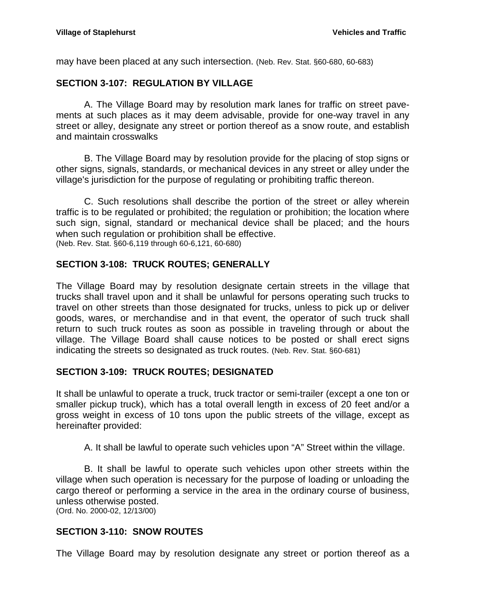may have been placed at any such intersection. (Neb. Rev. Stat. §60-680, 60-683)

## <span id="page-5-0"></span>**SECTION 3-107: REGULATION BY VILLAGE**

A. The Village Board may by resolution mark lanes for traffic on street pavements at such places as it may deem advisable, provide for one-way travel in any street or alley, designate any street or portion thereof as a snow route, and establish and maintain crosswalks

B. The Village Board may by resolution provide for the placing of stop signs or other signs, signals, standards, or mechanical devices in any street or alley under the village's jurisdiction for the purpose of regulating or prohibiting traffic thereon.

C. Such resolutions shall describe the portion of the street or alley wherein traffic is to be regulated or prohibited; the regulation or prohibition; the location where such sign, signal, standard or mechanical device shall be placed; and the hours when such regulation or prohibition shall be effective. (Neb. Rev. Stat. §60-6,119 through 60-6,121, 60-680)

## <span id="page-5-1"></span>**SECTION 3-108: TRUCK ROUTES; GENERALLY**

The Village Board may by resolution designate certain streets in the village that trucks shall travel upon and it shall be unlawful for persons operating such trucks to travel on other streets than those designated for trucks, unless to pick up or deliver goods, wares, or merchandise and in that event, the operator of such truck shall return to such truck routes as soon as possible in traveling through or about the village. The Village Board shall cause notices to be posted or shall erect signs indicating the streets so designated as truck routes. (Neb. Rev. Stat. §60-681)

## <span id="page-5-2"></span>**SECTION 3-109: TRUCK ROUTES; DESIGNATED**

It shall be unlawful to operate a truck, truck tractor or semi-trailer (except a one ton or smaller pickup truck), which has a total overall length in excess of 20 feet and/or a gross weight in excess of 10 tons upon the public streets of the village, except as hereinafter provided:

A. It shall be lawful to operate such vehicles upon "A" Street within the village.

B. It shall be lawful to operate such vehicles upon other streets within the village when such operation is necessary for the purpose of loading or unloading the cargo thereof or performing a service in the area in the ordinary course of business, unless otherwise posted. (Ord. No. 2000-02, 12/13/00)

## <span id="page-5-3"></span>**SECTION 3-110: SNOW ROUTES**

The Village Board may by resolution designate any street or portion thereof as a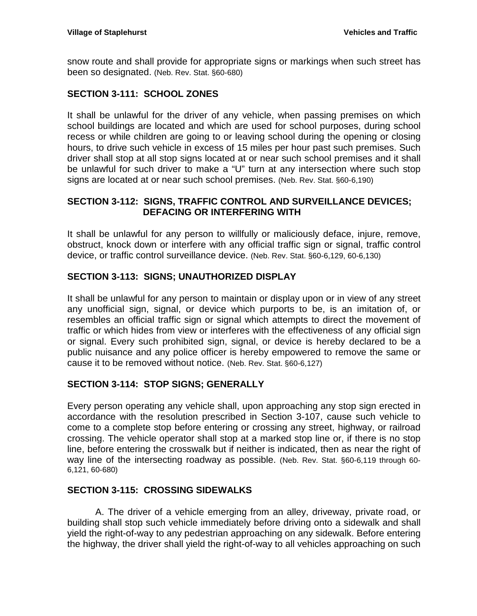snow route and shall provide for appropriate signs or markings when such street has been so designated. (Neb. Rev. Stat. §60-680)

## <span id="page-6-0"></span>**SECTION 3-111: SCHOOL ZONES**

It shall be unlawful for the driver of any vehicle, when passing premises on which school buildings are located and which are used for school purposes, during school recess or while children are going to or leaving school during the opening or closing hours, to drive such vehicle in excess of 15 miles per hour past such premises. Such driver shall stop at all stop signs located at or near such school premises and it shall be unlawful for such driver to make a "U" turn at any intersection where such stop signs are located at or near such school premises. (Neb. Rev. Stat. §60-6,190)

### <span id="page-6-1"></span>**SECTION 3-112: SIGNS, TRAFFIC CONTROL AND SURVEILLANCE DEVICES; DEFACING OR INTERFERING WITH**

It shall be unlawful for any person to willfully or maliciously deface, injure, remove, obstruct, knock down or interfere with any official traffic sign or signal, traffic control device, or traffic control surveillance device. (Neb. Rev. Stat. §60-6,129, 60-6,130)

## <span id="page-6-2"></span>**SECTION 3-113: SIGNS; UNAUTHORIZED DISPLAY**

It shall be unlawful for any person to maintain or display upon or in view of any street any unofficial sign, signal, or device which purports to be, is an imitation of, or resembles an official traffic sign or signal which attempts to direct the movement of traffic or which hides from view or interferes with the effectiveness of any official sign or signal. Every such prohibited sign, signal, or device is hereby declared to be a public nuisance and any police officer is hereby empowered to remove the same or cause it to be removed without notice. (Neb. Rev. Stat. §60-6,127)

### <span id="page-6-3"></span>**SECTION 3-114: STOP SIGNS; GENERALLY**

Every person operating any vehicle shall, upon approaching any stop sign erected in accordance with the resolution prescribed in Section 3-107, cause such vehicle to come to a complete stop before entering or crossing any street, highway, or railroad crossing. The vehicle operator shall stop at a marked stop line or, if there is no stop line, before entering the crosswalk but if neither is indicated, then as near the right of way line of the intersecting roadway as possible. (Neb. Rev. Stat. §60-6,119 through 60- 6,121, 60-680)

### <span id="page-6-4"></span>**SECTION 3-115: CROSSING SIDEWALKS**

A. The driver of a vehicle emerging from an alley, driveway, private road, or building shall stop such vehicle immediately before driving onto a sidewalk and shall yield the right-of-way to any pedestrian approaching on any sidewalk. Before entering the highway, the driver shall yield the right-of-way to all vehicles approaching on such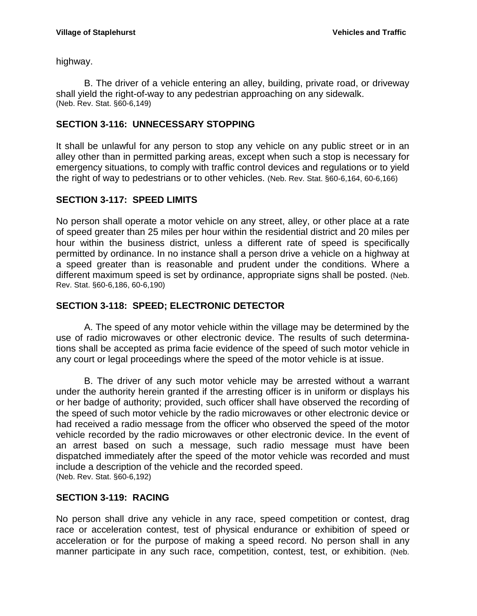highway.

B. The driver of a vehicle entering an alley, building, private road, or driveway shall yield the right-of-way to any pedestrian approaching on any sidewalk. (Neb. Rev. Stat. §60-6,149)

## <span id="page-7-0"></span>**SECTION 3-116: UNNECESSARY STOPPING**

It shall be unlawful for any person to stop any vehicle on any public street or in an alley other than in permitted parking areas, except when such a stop is necessary for emergency situations, to comply with traffic control devices and regulations or to yield the right of way to pedestrians or to other vehicles. (Neb. Rev. Stat. §60-6,164, 60-6,166)

## <span id="page-7-1"></span>**SECTION 3-117: SPEED LIMITS**

No person shall operate a motor vehicle on any street, alley, or other place at a rate of speed greater than 25 miles per hour within the residential district and 20 miles per hour within the business district, unless a different rate of speed is specifically permitted by ordinance. In no instance shall a person drive a vehicle on a highway at a speed greater than is reasonable and prudent under the conditions. Where a different maximum speed is set by ordinance, appropriate signs shall be posted. (Neb. Rev. Stat. §60-6,186, 60-6,190)

## <span id="page-7-2"></span>**SECTION 3-118: SPEED; ELECTRONIC DETECTOR**

A. The speed of any motor vehicle within the village may be determined by the use of radio microwaves or other electronic device. The results of such determinations shall be accepted as prima facie evidence of the speed of such motor vehicle in any court or legal proceedings where the speed of the motor vehicle is at issue.

B. The driver of any such motor vehicle may be arrested without a warrant under the authority herein granted if the arresting officer is in uniform or displays his or her badge of authority; provided, such officer shall have observed the recording of the speed of such motor vehicle by the radio microwaves or other electronic device or had received a radio message from the officer who observed the speed of the motor vehicle recorded by the radio microwaves or other electronic device. In the event of an arrest based on such a message, such radio message must have been dispatched immediately after the speed of the motor vehicle was recorded and must include a description of the vehicle and the recorded speed. (Neb. Rev. Stat. §60-6,192)

## <span id="page-7-3"></span>**SECTION 3-119: RACING**

No person shall drive any vehicle in any race, speed competition or contest, drag race or acceleration contest, test of physical endurance or exhibition of speed or acceleration or for the purpose of making a speed record. No person shall in any manner participate in any such race, competition, contest, test, or exhibition. (Neb.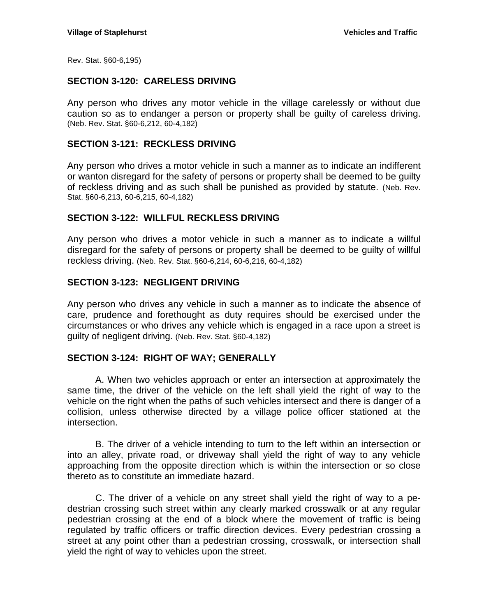Rev. Stat. §60-6,195)

## <span id="page-8-0"></span>**SECTION 3-120: CARELESS DRIVING**

Any person who drives any motor vehicle in the village carelessly or without due caution so as to endanger a person or property shall be guilty of careless driving. (Neb. Rev. Stat. §60-6,212, 60-4,182)

#### <span id="page-8-1"></span>**SECTION 3-121: RECKLESS DRIVING**

Any person who drives a motor vehicle in such a manner as to indicate an indifferent or wanton disregard for the safety of persons or property shall be deemed to be guilty of reckless driving and as such shall be punished as provided by statute. (Neb. Rev. Stat. §60-6,213, 60-6,215, 60-4,182)

### <span id="page-8-2"></span>**SECTION 3-122: WILLFUL RECKLESS DRIVING**

Any person who drives a motor vehicle in such a manner as to indicate a willful disregard for the safety of persons or property shall be deemed to be guilty of willful reckless driving. (Neb. Rev. Stat. §60-6,214, 60-6,216, 60-4,182)

#### <span id="page-8-3"></span>**SECTION 3-123: NEGLIGENT DRIVING**

Any person who drives any vehicle in such a manner as to indicate the absence of care, prudence and forethought as duty requires should be exercised under the circumstances or who drives any vehicle which is engaged in a race upon a street is guilty of negligent driving. (Neb. Rev. Stat. §60-4,182)

#### <span id="page-8-4"></span>**SECTION 3-124: RIGHT OF WAY; GENERALLY**

A. When two vehicles approach or enter an intersection at approximately the same time, the driver of the vehicle on the left shall yield the right of way to the vehicle on the right when the paths of such vehicles intersect and there is danger of a collision, unless otherwise directed by a village police officer stationed at the intersection.

B. The driver of a vehicle intending to turn to the left within an intersection or into an alley, private road, or driveway shall yield the right of way to any vehicle approaching from the opposite direction which is within the intersection or so close thereto as to constitute an immediate hazard.

C. The driver of a vehicle on any street shall yield the right of way to a pedestrian crossing such street within any clearly marked crosswalk or at any regular pedestrian crossing at the end of a block where the movement of traffic is being regulated by traffic officers or traffic direction devices. Every pedestrian crossing a street at any point other than a pedestrian crossing, crosswalk, or intersection shall yield the right of way to vehicles upon the street.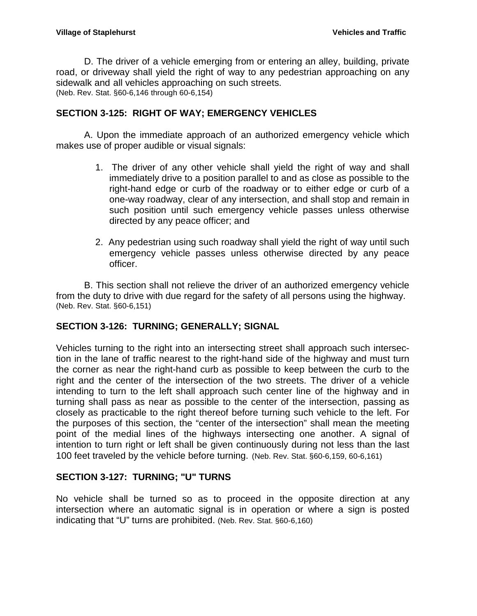D. The driver of a vehicle emerging from or entering an alley, building, private road, or driveway shall yield the right of way to any pedestrian approaching on any sidewalk and all vehicles approaching on such streets. (Neb. Rev. Stat. §60-6,146 through 60-6,154)

## <span id="page-9-0"></span>**SECTION 3-125: RIGHT OF WAY; EMERGENCY VEHICLES**

A. Upon the immediate approach of an authorized emergency vehicle which makes use of proper audible or visual signals:

- 1. The driver of any other vehicle shall yield the right of way and shall immediately drive to a position parallel to and as close as possible to the right-hand edge or curb of the roadway or to either edge or curb of a one-way roadway, clear of any intersection, and shall stop and remain in such position until such emergency vehicle passes unless otherwise directed by any peace officer; and
- 2. Any pedestrian using such roadway shall yield the right of way until such emergency vehicle passes unless otherwise directed by any peace officer.

B. This section shall not relieve the driver of an authorized emergency vehicle from the duty to drive with due regard for the safety of all persons using the highway. (Neb. Rev. Stat. §60-6,151)

## <span id="page-9-1"></span>**SECTION 3-126: TURNING; GENERALLY; SIGNAL**

Vehicles turning to the right into an intersecting street shall approach such intersection in the lane of traffic nearest to the right-hand side of the highway and must turn the corner as near the right-hand curb as possible to keep between the curb to the right and the center of the intersection of the two streets. The driver of a vehicle intending to turn to the left shall approach such center line of the highway and in turning shall pass as near as possible to the center of the intersection, passing as closely as practicable to the right thereof before turning such vehicle to the left. For the purposes of this section, the "center of the intersection" shall mean the meeting point of the medial lines of the highways intersecting one another. A signal of intention to turn right or left shall be given continuously during not less than the last 100 feet traveled by the vehicle before turning. (Neb. Rev. Stat. §60-6,159, 60-6,161)

## <span id="page-9-2"></span>**SECTION 3-127: TURNING; "U" TURNS**

No vehicle shall be turned so as to proceed in the opposite direction at any intersection where an automatic signal is in operation or where a sign is posted indicating that "U" turns are prohibited. (Neb. Rev. Stat. §60-6,160)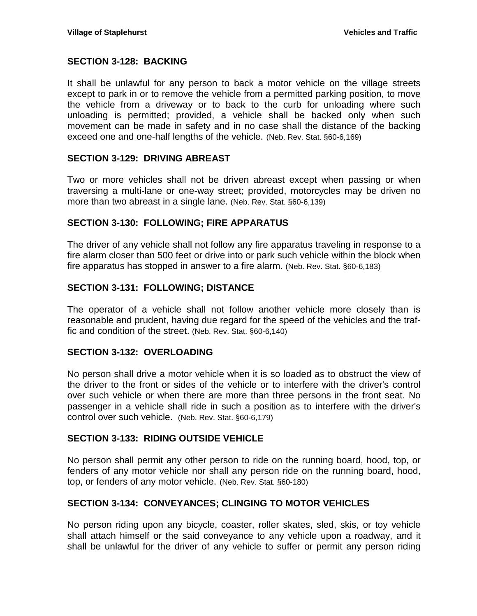### <span id="page-10-0"></span>**SECTION 3-128: BACKING**

It shall be unlawful for any person to back a motor vehicle on the village streets except to park in or to remove the vehicle from a permitted parking position, to move the vehicle from a driveway or to back to the curb for unloading where such unloading is permitted; provided, a vehicle shall be backed only when such movement can be made in safety and in no case shall the distance of the backing exceed one and one-half lengths of the vehicle. (Neb. Rev. Stat. §60-6,169)

## <span id="page-10-1"></span>**SECTION 3-129: DRIVING ABREAST**

Two or more vehicles shall not be driven abreast except when passing or when traversing a multi-lane or one-way street; provided, motorcycles may be driven no more than two abreast in a single lane. (Neb. Rev. Stat. §60-6,139)

### <span id="page-10-2"></span>**SECTION 3-130: FOLLOWING; FIRE APPARATUS**

The driver of any vehicle shall not follow any fire apparatus traveling in response to a fire alarm closer than 500 feet or drive into or park such vehicle within the block when fire apparatus has stopped in answer to a fire alarm. (Neb. Rev. Stat. §60-6,183)

## <span id="page-10-3"></span>**SECTION 3-131: FOLLOWING; DISTANCE**

The operator of a vehicle shall not follow another vehicle more closely than is reasonable and prudent, having due regard for the speed of the vehicles and the traffic and condition of the street. (Neb. Rev. Stat. §60-6,140)

### <span id="page-10-4"></span>**SECTION 3-132: OVERLOADING**

No person shall drive a motor vehicle when it is so loaded as to obstruct the view of the driver to the front or sides of the vehicle or to interfere with the driver's control over such vehicle or when there are more than three persons in the front seat. No passenger in a vehicle shall ride in such a position as to interfere with the driver's control over such vehicle. (Neb. Rev. Stat. §60-6,179)

### <span id="page-10-5"></span>**SECTION 3-133: RIDING OUTSIDE VEHICLE**

No person shall permit any other person to ride on the running board, hood, top, or fenders of any motor vehicle nor shall any person ride on the running board, hood, top, or fenders of any motor vehicle. (Neb. Rev. Stat. §60-180)

### <span id="page-10-6"></span>**SECTION 3-134: CONVEYANCES; CLINGING TO MOTOR VEHICLES**

No person riding upon any bicycle, coaster, roller skates, sled, skis, or toy vehicle shall attach himself or the said conveyance to any vehicle upon a roadway, and it shall be unlawful for the driver of any vehicle to suffer or permit any person riding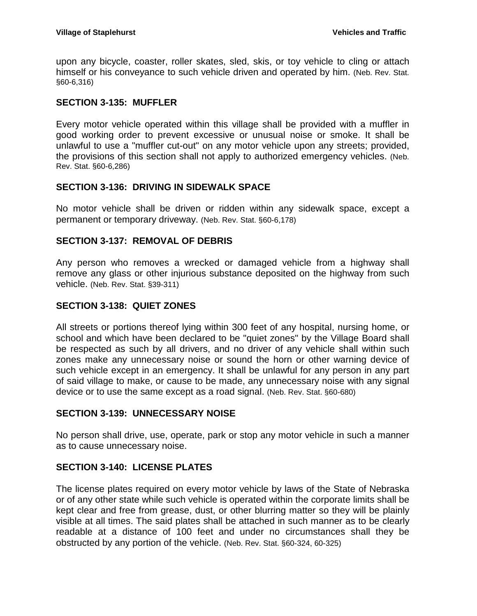upon any bicycle, coaster, roller skates, sled, skis, or toy vehicle to cling or attach himself or his conveyance to such vehicle driven and operated by him. (Neb. Rev. Stat. §60-6,316)

## <span id="page-11-0"></span>**SECTION 3-135: MUFFLER**

Every motor vehicle operated within this village shall be provided with a muffler in good working order to prevent excessive or unusual noise or smoke. It shall be unlawful to use a "muffler cut-out" on any motor vehicle upon any streets; provided, the provisions of this section shall not apply to authorized emergency vehicles. (Neb. Rev. Stat. §60-6,286)

### <span id="page-11-1"></span>**SECTION 3-136: DRIVING IN SIDEWALK SPACE**

No motor vehicle shall be driven or ridden within any sidewalk space, except a permanent or temporary driveway. (Neb. Rev. Stat. §60-6,178)

## <span id="page-11-2"></span>**SECTION 3-137: REMOVAL OF DEBRIS**

Any person who removes a wrecked or damaged vehicle from a highway shall remove any glass or other injurious substance deposited on the highway from such vehicle. (Neb. Rev. Stat. §39-311)

## <span id="page-11-3"></span>**SECTION 3-138: QUIET ZONES**

All streets or portions thereof lying within 300 feet of any hospital, nursing home, or school and which have been declared to be "quiet zones" by the Village Board shall be respected as such by all drivers, and no driver of any vehicle shall within such zones make any unnecessary noise or sound the horn or other warning device of such vehicle except in an emergency. It shall be unlawful for any person in any part of said village to make, or cause to be made, any unnecessary noise with any signal device or to use the same except as a road signal. (Neb. Rev. Stat. §60-680)

### <span id="page-11-4"></span>**SECTION 3-139: UNNECESSARY NOISE**

No person shall drive, use, operate, park or stop any motor vehicle in such a manner as to cause unnecessary noise.

### <span id="page-11-5"></span>**SECTION 3-140: LICENSE PLATES**

The license plates required on every motor vehicle by laws of the State of Nebraska or of any other state while such vehicle is operated within the corporate limits shall be kept clear and free from grease, dust, or other blurring matter so they will be plainly visible at all times. The said plates shall be attached in such manner as to be clearly readable at a distance of 100 feet and under no circumstances shall they be obstructed by any portion of the vehicle. (Neb. Rev. Stat. §60-324, 60-325)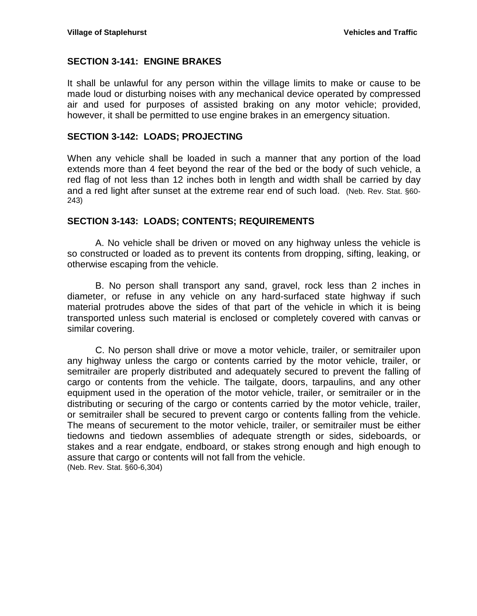## <span id="page-12-0"></span>**SECTION 3-141: ENGINE BRAKES**

It shall be unlawful for any person within the village limits to make or cause to be made loud or disturbing noises with any mechanical device operated by compressed air and used for purposes of assisted braking on any motor vehicle; provided, however, it shall be permitted to use engine brakes in an emergency situation.

### <span id="page-12-1"></span>**SECTION 3-142: LOADS; PROJECTING**

When any vehicle shall be loaded in such a manner that any portion of the load extends more than 4 feet beyond the rear of the bed or the body of such vehicle, a red flag of not less than 12 inches both in length and width shall be carried by day and a red light after sunset at the extreme rear end of such load. (Neb. Rev. Stat. §60- 243)

### <span id="page-12-2"></span>**SECTION 3-143: LOADS; CONTENTS; REQUIREMENTS**

A. No vehicle shall be driven or moved on any highway unless the vehicle is so constructed or loaded as to prevent its contents from dropping, sifting, leaking, or otherwise escaping from the vehicle.

B. No person shall transport any sand, gravel, rock less than 2 inches in diameter, or refuse in any vehicle on any hard-surfaced state highway if such material protrudes above the sides of that part of the vehicle in which it is being transported unless such material is enclosed or completely covered with canvas or similar covering.

C. No person shall drive or move a motor vehicle, trailer, or semitrailer upon any highway unless the cargo or contents carried by the motor vehicle, trailer, or semitrailer are properly distributed and adequately secured to prevent the falling of cargo or contents from the vehicle. The tailgate, doors, tarpaulins, and any other equipment used in the operation of the motor vehicle, trailer, or semitrailer or in the distributing or securing of the cargo or contents carried by the motor vehicle, trailer, or semitrailer shall be secured to prevent cargo or contents falling from the vehicle. The means of securement to the motor vehicle, trailer, or semitrailer must be either tiedowns and tiedown assemblies of adequate strength or sides, sideboards, or stakes and a rear endgate, endboard, or stakes strong enough and high enough to assure that cargo or contents will not fall from the vehicle. (Neb. Rev. Stat. §60-6,304)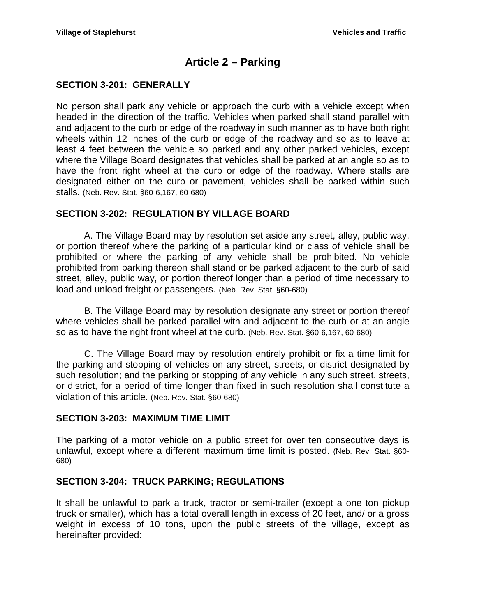# **Article 2 – Parking**

## <span id="page-13-1"></span><span id="page-13-0"></span>**SECTION 3-201: GENERALLY**

No person shall park any vehicle or approach the curb with a vehicle except when headed in the direction of the traffic. Vehicles when parked shall stand parallel with and adjacent to the curb or edge of the roadway in such manner as to have both right wheels within 12 inches of the curb or edge of the roadway and so as to leave at least 4 feet between the vehicle so parked and any other parked vehicles, except where the Village Board designates that vehicles shall be parked at an angle so as to have the front right wheel at the curb or edge of the roadway. Where stalls are designated either on the curb or pavement, vehicles shall be parked within such stalls. (Neb. Rev. Stat. §60-6,167, 60-680)

## <span id="page-13-2"></span>**SECTION 3-202: REGULATION BY VILLAGE BOARD**

A. The Village Board may by resolution set aside any street, alley, public way, or portion thereof where the parking of a particular kind or class of vehicle shall be prohibited or where the parking of any vehicle shall be prohibited. No vehicle prohibited from parking thereon shall stand or be parked adjacent to the curb of said street, alley, public way, or portion thereof longer than a period of time necessary to load and unload freight or passengers. (Neb. Rev. Stat. §60-680)

B. The Village Board may by resolution designate any street or portion thereof where vehicles shall be parked parallel with and adjacent to the curb or at an angle so as to have the right front wheel at the curb. (Neb. Rev. Stat. §60-6,167, 60-680)

C. The Village Board may by resolution entirely prohibit or fix a time limit for the parking and stopping of vehicles on any street, streets, or district designated by such resolution; and the parking or stopping of any vehicle in any such street, streets, or district, for a period of time longer than fixed in such resolution shall constitute a violation of this article. (Neb. Rev. Stat. §60-680)

### <span id="page-13-3"></span>**SECTION 3-203: MAXIMUM TIME LIMIT**

The parking of a motor vehicle on a public street for over ten consecutive days is unlawful, except where a different maximum time limit is posted. (Neb. Rev. Stat. §60- 680)

### <span id="page-13-4"></span>**SECTION 3-204: TRUCK PARKING; REGULATIONS**

It shall be unlawful to park a truck, tractor or semi-trailer (except a one ton pickup truck or smaller), which has a total overall length in excess of 20 feet, and/ or a gross weight in excess of 10 tons, upon the public streets of the village, except as hereinafter provided: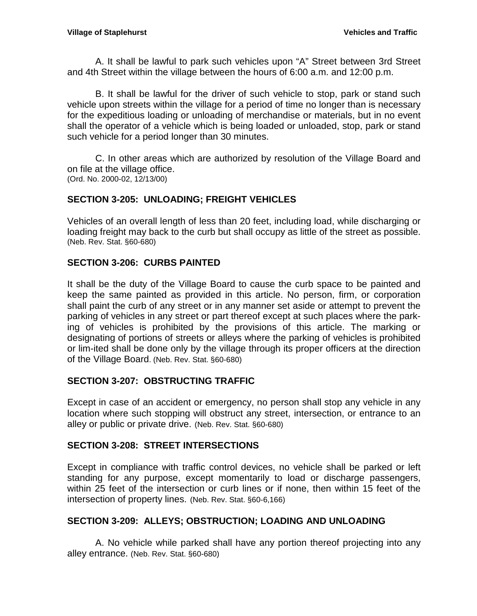A. It shall be lawful to park such vehicles upon "A" Street between 3rd Street and 4th Street within the village between the hours of 6:00 a.m. and 12:00 p.m.

B. It shall be lawful for the driver of such vehicle to stop, park or stand such vehicle upon streets within the village for a period of time no longer than is necessary for the expeditious loading or unloading of merchandise or materials, but in no event shall the operator of a vehicle which is being loaded or unloaded, stop, park or stand such vehicle for a period longer than 30 minutes.

C. In other areas which are authorized by resolution of the Village Board and on file at the village office. (Ord. No. 2000-02, 12/13/00)

## <span id="page-14-0"></span>**SECTION 3-205: UNLOADING; FREIGHT VEHICLES**

Vehicles of an overall length of less than 20 feet, including load, while discharging or loading freight may back to the curb but shall occupy as little of the street as possible. (Neb. Rev. Stat. §60-680)

## <span id="page-14-1"></span>**SECTION 3-206: CURBS PAINTED**

It shall be the duty of the Village Board to cause the curb space to be painted and keep the same painted as provided in this article. No person, firm, or corporation shall paint the curb of any street or in any manner set aside or attempt to prevent the parking of vehicles in any street or part thereof except at such places where the parking of vehicles is prohibited by the provisions of this article. The marking or designating of portions of streets or alleys where the parking of vehicles is prohibited or lim-ited shall be done only by the village through its proper officers at the direction of the Village Board. (Neb. Rev. Stat. §60-680)

### <span id="page-14-2"></span>**SECTION 3-207: OBSTRUCTING TRAFFIC**

Except in case of an accident or emergency, no person shall stop any vehicle in any location where such stopping will obstruct any street, intersection, or entrance to an alley or public or private drive. (Neb. Rev. Stat. §60-680)

### <span id="page-14-3"></span>**SECTION 3-208: STREET INTERSECTIONS**

Except in compliance with traffic control devices, no vehicle shall be parked or left standing for any purpose, except momentarily to load or discharge passengers, within 25 feet of the intersection or curb lines or if none, then within 15 feet of the intersection of property lines. (Neb. Rev. Stat. §60-6,166)

## <span id="page-14-4"></span>**SECTION 3-209: ALLEYS; OBSTRUCTION; LOADING AND UNLOADING**

A. No vehicle while parked shall have any portion thereof projecting into any alley entrance. (Neb. Rev. Stat. §60-680)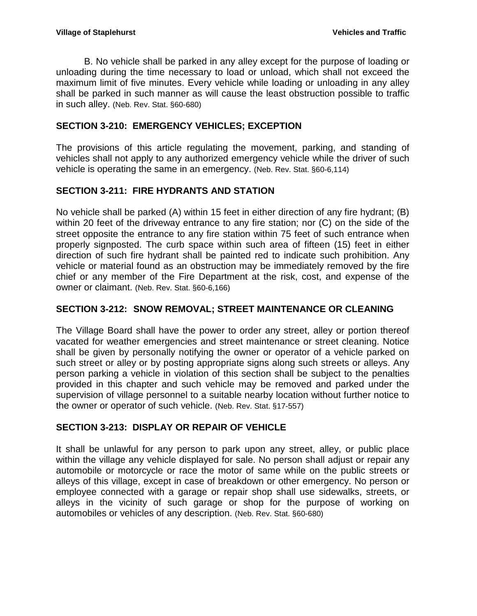B. No vehicle shall be parked in any alley except for the purpose of loading or unloading during the time necessary to load or unload, which shall not exceed the maximum limit of five minutes. Every vehicle while loading or unloading in any alley shall be parked in such manner as will cause the least obstruction possible to traffic in such alley. (Neb. Rev. Stat. §60-680)

## <span id="page-15-0"></span>**SECTION 3-210: EMERGENCY VEHICLES; EXCEPTION**

The provisions of this article regulating the movement, parking, and standing of vehicles shall not apply to any authorized emergency vehicle while the driver of such vehicle is operating the same in an emergency. (Neb. Rev. Stat. §60-6,114)

## <span id="page-15-1"></span>**SECTION 3-211: FIRE HYDRANTS AND STATION**

No vehicle shall be parked (A) within 15 feet in either direction of any fire hydrant; (B) within 20 feet of the driveway entrance to any fire station; nor (C) on the side of the street opposite the entrance to any fire station within 75 feet of such entrance when properly signposted. The curb space within such area of fifteen (15) feet in either direction of such fire hydrant shall be painted red to indicate such prohibition. Any vehicle or material found as an obstruction may be immediately removed by the fire chief or any member of the Fire Department at the risk, cost, and expense of the owner or claimant. (Neb. Rev. Stat. §60-6,166)

## <span id="page-15-2"></span>**SECTION 3-212: SNOW REMOVAL; STREET MAINTENANCE OR CLEANING**

The Village Board shall have the power to order any street, alley or portion thereof vacated for weather emergencies and street maintenance or street cleaning. Notice shall be given by personally notifying the owner or operator of a vehicle parked on such street or alley or by posting appropriate signs along such streets or alleys. Any person parking a vehicle in violation of this section shall be subject to the penalties provided in this chapter and such vehicle may be removed and parked under the supervision of village personnel to a suitable nearby location without further notice to the owner or operator of such vehicle. (Neb. Rev. Stat. §17-557)

## <span id="page-15-3"></span>**SECTION 3-213: DISPLAY OR REPAIR OF VEHICLE**

It shall be unlawful for any person to park upon any street, alley, or public place within the village any vehicle displayed for sale. No person shall adjust or repair any automobile or motorcycle or race the motor of same while on the public streets or alleys of this village, except in case of breakdown or other emergency. No person or employee connected with a garage or repair shop shall use sidewalks, streets, or alleys in the vicinity of such garage or shop for the purpose of working on automobiles or vehicles of any description. (Neb. Rev. Stat. §60-680)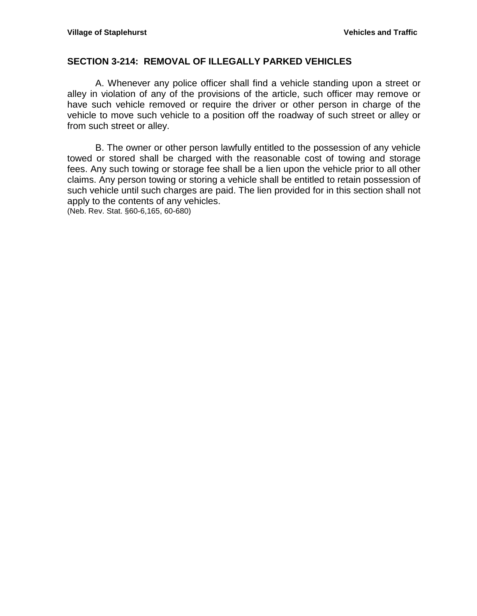### <span id="page-16-0"></span>**SECTION 3-214: REMOVAL OF ILLEGALLY PARKED VEHICLES**

A. Whenever any police officer shall find a vehicle standing upon a street or alley in violation of any of the provisions of the article, such officer may remove or have such vehicle removed or require the driver or other person in charge of the vehicle to move such vehicle to a position off the roadway of such street or alley or from such street or alley.

B. The owner or other person lawfully entitled to the possession of any vehicle towed or stored shall be charged with the reasonable cost of towing and storage fees. Any such towing or storage fee shall be a lien upon the vehicle prior to all other claims. Any person towing or storing a vehicle shall be entitled to retain possession of such vehicle until such charges are paid. The lien provided for in this section shall not apply to the contents of any vehicles.

(Neb. Rev. Stat. §60-6,165, 60-680)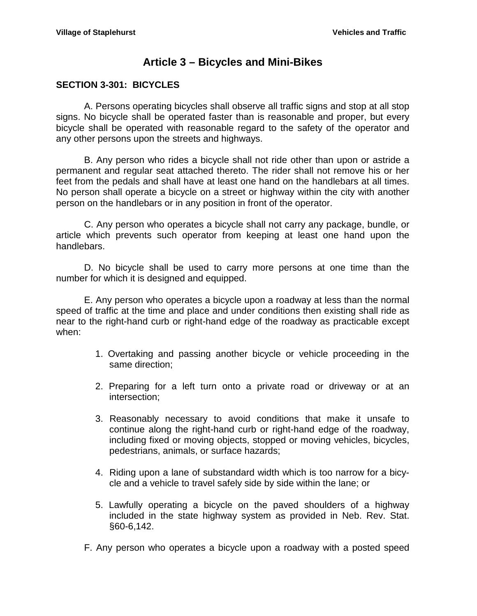# **Article 3 – Bicycles and Mini-Bikes**

## <span id="page-17-1"></span><span id="page-17-0"></span>**SECTION 3-301: BICYCLES**

A. Persons operating bicycles shall observe all traffic signs and stop at all stop signs. No bicycle shall be operated faster than is reasonable and proper, but every bicycle shall be operated with reasonable regard to the safety of the operator and any other persons upon the streets and highways.

B. Any person who rides a bicycle shall not ride other than upon or astride a permanent and regular seat attached thereto. The rider shall not remove his or her feet from the pedals and shall have at least one hand on the handlebars at all times. No person shall operate a bicycle on a street or highway within the city with another person on the handlebars or in any position in front of the operator.

C. Any person who operates a bicycle shall not carry any package, bundle, or article which prevents such operator from keeping at least one hand upon the handlebars.

D. No bicycle shall be used to carry more persons at one time than the number for which it is designed and equipped.

E. Any person who operates a bicycle upon a roadway at less than the normal speed of traffic at the time and place and under conditions then existing shall ride as near to the right-hand curb or right-hand edge of the roadway as practicable except when:

- 1. Overtaking and passing another bicycle or vehicle proceeding in the same direction;
- 2. Preparing for a left turn onto a private road or driveway or at an intersection;
- 3. Reasonably necessary to avoid conditions that make it unsafe to continue along the right-hand curb or right-hand edge of the roadway, including fixed or moving objects, stopped or moving vehicles, bicycles, pedestrians, animals, or surface hazards;
- 4. Riding upon a lane of substandard width which is too narrow for a bicycle and a vehicle to travel safely side by side within the lane; or
- 5. Lawfully operating a bicycle on the paved shoulders of a highway included in the state highway system as provided in Neb. Rev. Stat. §60-6,142.
- F. Any person who operates a bicycle upon a roadway with a posted speed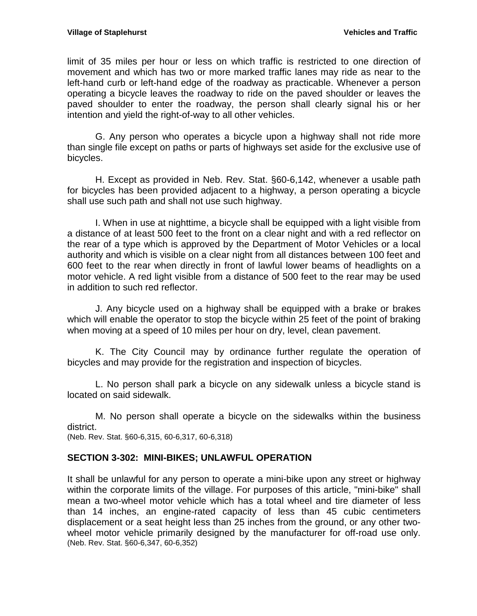limit of 35 miles per hour or less on which traffic is restricted to one direction of movement and which has two or more marked traffic lanes may ride as near to the left-hand curb or left-hand edge of the roadway as practicable. Whenever a person operating a bicycle leaves the roadway to ride on the paved shoulder or leaves the paved shoulder to enter the roadway, the person shall clearly signal his or her intention and yield the right-of-way to all other vehicles.

G. Any person who operates a bicycle upon a highway shall not ride more than single file except on paths or parts of highways set aside for the exclusive use of bicycles.

H. Except as provided in Neb. Rev. Stat. §60-6,142, whenever a usable path for bicycles has been provided adjacent to a highway, a person operating a bicycle shall use such path and shall not use such highway.

I. When in use at nighttime, a bicycle shall be equipped with a light visible from a distance of at least 500 feet to the front on a clear night and with a red reflector on the rear of a type which is approved by the Department of Motor Vehicles or a local authority and which is visible on a clear night from all distances between 100 feet and 600 feet to the rear when directly in front of lawful lower beams of headlights on a motor vehicle. A red light visible from a distance of 500 feet to the rear may be used in addition to such red reflector.

J. Any bicycle used on a highway shall be equipped with a brake or brakes which will enable the operator to stop the bicycle within 25 feet of the point of braking when moving at a speed of 10 miles per hour on dry, level, clean pavement.

K. The City Council may by ordinance further regulate the operation of bicycles and may provide for the registration and inspection of bicycles.

L. No person shall park a bicycle on any sidewalk unless a bicycle stand is located on said sidewalk.

M. No person shall operate a bicycle on the sidewalks within the business district.

(Neb. Rev. Stat. §60-6,315, 60-6,317, 60-6,318)

### <span id="page-18-0"></span>**SECTION 3-302: MINI-BIKES; UNLAWFUL OPERATION**

It shall be unlawful for any person to operate a mini-bike upon any street or highway within the corporate limits of the village. For purposes of this article, "mini-bike" shall mean a two-wheel motor vehicle which has a total wheel and tire diameter of less than 14 inches, an engine-rated capacity of less than 45 cubic centimeters displacement or a seat height less than 25 inches from the ground, or any other twowheel motor vehicle primarily designed by the manufacturer for off-road use only. (Neb. Rev. Stat. §60-6,347, 60-6,352)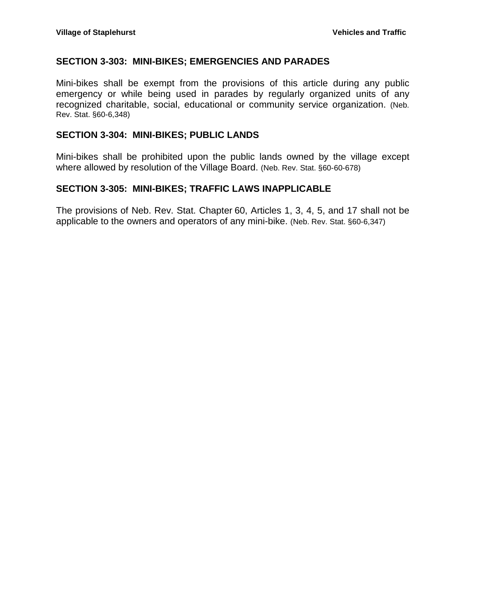#### <span id="page-19-0"></span>**SECTION 3-303: MINI-BIKES; EMERGENCIES AND PARADES**

Mini-bikes shall be exempt from the provisions of this article during any public emergency or while being used in parades by regularly organized units of any recognized charitable, social, educational or community service organization. (Neb. Rev. Stat. §60-6,348)

#### <span id="page-19-1"></span>**SECTION 3-304: MINI-BIKES; PUBLIC LANDS**

Mini-bikes shall be prohibited upon the public lands owned by the village except where allowed by resolution of the Village Board. (Neb. Rev. Stat. §60-60-678)

#### <span id="page-19-2"></span>**SECTION 3-305: MINI-BIKES; TRAFFIC LAWS INAPPLICABLE**

The provisions of Neb. Rev. Stat. Chapter 60, Articles 1, 3, 4, 5, and 17 shall not be applicable to the owners and operators of any mini-bike. (Neb. Rev. Stat. §60-6,347)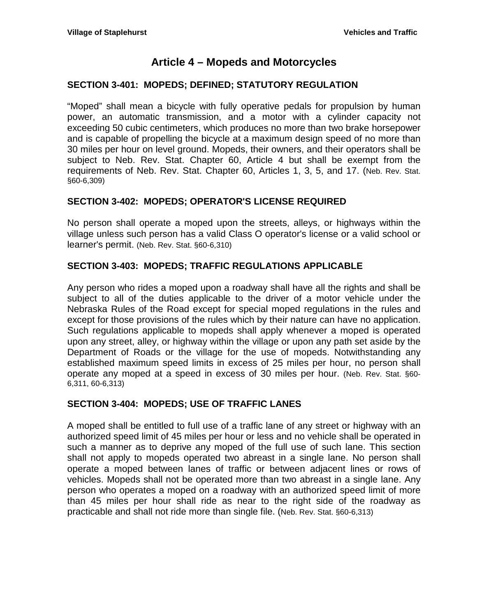## **Article 4 – Mopeds and Motorcycles**

## <span id="page-20-1"></span><span id="page-20-0"></span>**SECTION 3-401: MOPEDS; DEFINED; STATUTORY REGULATION**

"Moped" shall mean a bicycle with fully operative pedals for propulsion by human power, an automatic transmission, and a motor with a cylinder capacity not exceeding 50 cubic centimeters, which produces no more than two brake horsepower and is capable of propelling the bicycle at a maximum design speed of no more than 30 miles per hour on level ground. Mopeds, their owners, and their operators shall be subject to Neb. Rev. Stat. Chapter 60, Article 4 but shall be exempt from the requirements of Neb. Rev. Stat. Chapter 60, Articles 1, 3, 5, and 17. (Neb. Rev. Stat. §60-6,309)

## <span id="page-20-2"></span>**SECTION 3-402: MOPEDS; OPERATOR'S LICENSE REQUIRED**

No person shall operate a moped upon the streets, alleys, or highways within the village unless such person has a valid Class O operator's license or a valid school or learner's permit. (Neb. Rev. Stat. §60-6,310)

## <span id="page-20-3"></span>**SECTION 3-403: MOPEDS; TRAFFIC REGULATIONS APPLICABLE**

Any person who rides a moped upon a roadway shall have all the rights and shall be subject to all of the duties applicable to the driver of a motor vehicle under the Nebraska Rules of the Road except for special moped regulations in the rules and except for those provisions of the rules which by their nature can have no application. Such regulations applicable to mopeds shall apply whenever a moped is operated upon any street, alley, or highway within the village or upon any path set aside by the Department of Roads or the village for the use of mopeds. Notwithstanding any established maximum speed limits in excess of 25 miles per hour, no person shall operate any moped at a speed in excess of 30 miles per hour. (Neb. Rev. Stat. §60- 6,311, 60-6,313)

### <span id="page-20-4"></span>**SECTION 3-404: MOPEDS; USE OF TRAFFIC LANES**

A moped shall be entitled to full use of a traffic lane of any street or highway with an authorized speed limit of 45 miles per hour or less and no vehicle shall be operated in such a manner as to deprive any moped of the full use of such lane. This section shall not apply to mopeds operated two abreast in a single lane. No person shall operate a moped between lanes of traffic or between adjacent lines or rows of vehicles. Mopeds shall not be operated more than two abreast in a single lane. Any person who operates a moped on a roadway with an authorized speed limit of more than 45 miles per hour shall ride as near to the right side of the roadway as practicable and shall not ride more than single file. (Neb. Rev. Stat. §60-6,313)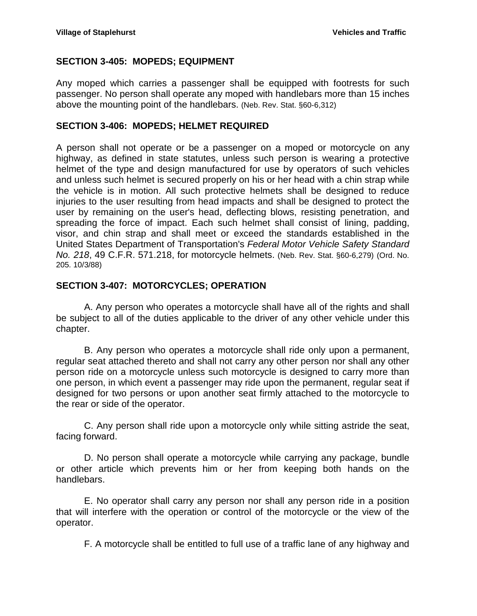## <span id="page-21-0"></span>**SECTION 3-405: MOPEDS; EQUIPMENT**

Any moped which carries a passenger shall be equipped with footrests for such passenger. No person shall operate any moped with handlebars more than 15 inches above the mounting point of the handlebars. (Neb. Rev. Stat. §60-6,312)

## <span id="page-21-1"></span>**SECTION 3-406: MOPEDS; HELMET REQUIRED**

A person shall not operate or be a passenger on a moped or motorcycle on any highway, as defined in state statutes, unless such person is wearing a protective helmet of the type and design manufactured for use by operators of such vehicles and unless such helmet is secured properly on his or her head with a chin strap while the vehicle is in motion. All such protective helmets shall be designed to reduce injuries to the user resulting from head impacts and shall be designed to protect the user by remaining on the user's head, deflecting blows, resisting penetration, and spreading the force of impact. Each such helmet shall consist of lining, padding, visor, and chin strap and shall meet or exceed the standards established in the United States Department of Transportation's *Federal Motor Vehicle Safety Standard No. 218*, 49 C.F.R. 571.218, for motorcycle helmets. (Neb. Rev. Stat. §60-6,279) (Ord. No. 205. 10/3/88)

### <span id="page-21-2"></span>**SECTION 3-407: MOTORCYCLES; OPERATION**

A. Any person who operates a motorcycle shall have all of the rights and shall be subject to all of the duties applicable to the driver of any other vehicle under this chapter.

B. Any person who operates a motorcycle shall ride only upon a permanent, regular seat attached thereto and shall not carry any other person nor shall any other person ride on a motorcycle unless such motorcycle is designed to carry more than one person, in which event a passenger may ride upon the permanent, regular seat if designed for two persons or upon another seat firmly attached to the motorcycle to the rear or side of the operator.

C. Any person shall ride upon a motorcycle only while sitting astride the seat, facing forward.

D. No person shall operate a motorcycle while carrying any package, bundle or other article which prevents him or her from keeping both hands on the handlebars.

E. No operator shall carry any person nor shall any person ride in a position that will interfere with the operation or control of the motorcycle or the view of the operator.

F. A motorcycle shall be entitled to full use of a traffic lane of any highway and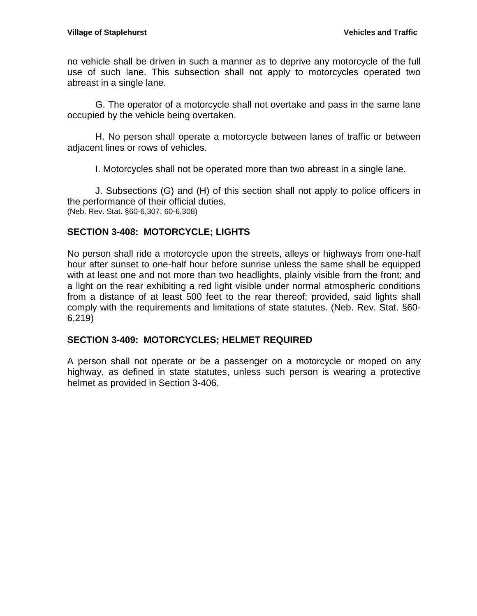no vehicle shall be driven in such a manner as to deprive any motorcycle of the full use of such lane. This subsection shall not apply to motorcycles operated two abreast in a single lane.

G. The operator of a motorcycle shall not overtake and pass in the same lane occupied by the vehicle being overtaken.

H. No person shall operate a motorcycle between lanes of traffic or between adjacent lines or rows of vehicles.

I. Motorcycles shall not be operated more than two abreast in a single lane.

J. Subsections (G) and (H) of this section shall not apply to police officers in the performance of their official duties. (Neb. Rev. Stat. §60-6,307, 60-6,308)

### <span id="page-22-0"></span>**SECTION 3-408: MOTORCYCLE; LIGHTS**

No person shall ride a motorcycle upon the streets, alleys or highways from one-half hour after sunset to one-half hour before sunrise unless the same shall be equipped with at least one and not more than two headlights, plainly visible from the front; and a light on the rear exhibiting a red light visible under normal atmospheric conditions from a distance of at least 500 feet to the rear thereof; provided, said lights shall comply with the requirements and limitations of state statutes. (Neb. Rev. Stat. §60- 6,219)

### <span id="page-22-1"></span>**SECTION 3-409: MOTORCYCLES; HELMET REQUIRED**

A person shall not operate or be a passenger on a motorcycle or moped on any highway, as defined in state statutes, unless such person is wearing a protective helmet as provided in Section 3-406.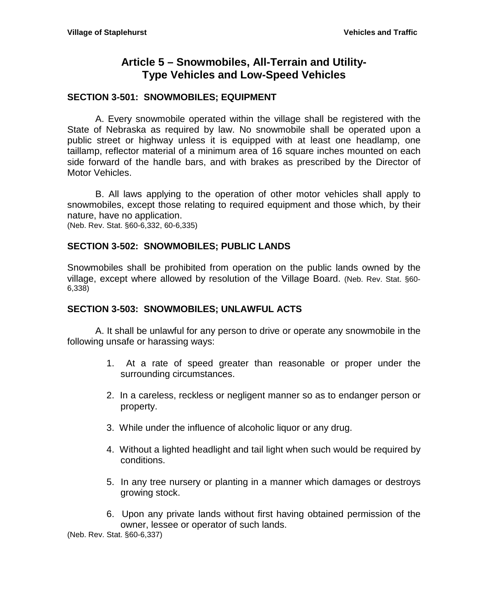# **Article 5 – Snowmobiles, All-Terrain and Utility-Type Vehicles and Low-Speed Vehicles**

## <span id="page-24-1"></span><span id="page-24-0"></span>**SECTION 3-501: SNOWMOBILES; EQUIPMENT**

A. Every snowmobile operated within the village shall be registered with the State of Nebraska as required by law. No snowmobile shall be operated upon a public street or highway unless it is equipped with at least one headlamp, one taillamp, reflector material of a minimum area of 16 square inches mounted on each side forward of the handle bars, and with brakes as prescribed by the Director of Motor Vehicles.

B. All laws applying to the operation of other motor vehicles shall apply to snowmobiles, except those relating to required equipment and those which, by their nature, have no application.

(Neb. Rev. Stat. §60-6,332, 60-6,335)

### <span id="page-24-2"></span>**SECTION 3-502: SNOWMOBILES; PUBLIC LANDS**

Snowmobiles shall be prohibited from operation on the public lands owned by the village, except where allowed by resolution of the Village Board. (Neb. Rev. Stat. §60- 6,338)

### <span id="page-24-3"></span>**SECTION 3-503: SNOWMOBILES; UNLAWFUL ACTS**

A. It shall be unlawful for any person to drive or operate any snowmobile in the following unsafe or harassing ways:

- 1. At a rate of speed greater than reasonable or proper under the surrounding circumstances.
- 2. In a careless, reckless or negligent manner so as to endanger person or property.
- 3. While under the influence of alcoholic liquor or any drug.
- 4. Without a lighted headlight and tail light when such would be required by conditions.
- 5. In any tree nursery or planting in a manner which damages or destroys growing stock.
- 6. Upon any private lands without first having obtained permission of the owner, lessee or operator of such lands.

(Neb. Rev. Stat. §60-6,337)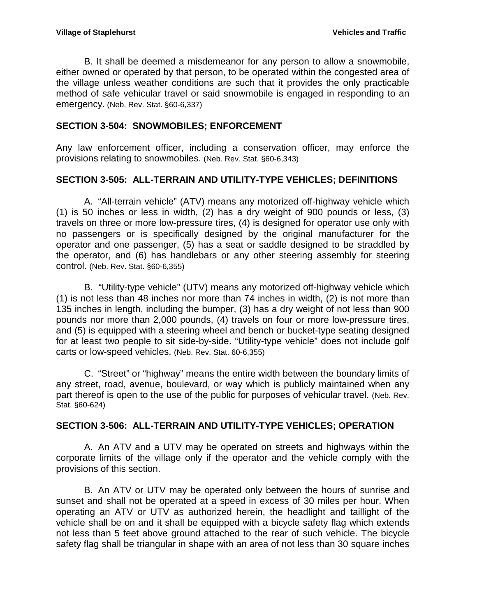B. It shall be deemed a misdemeanor for any person to allow a snowmobile, either owned or operated by that person, to be operated within the congested area of the village unless weather conditions are such that it provides the only practicable method of safe vehicular travel or said snowmobile is engaged in responding to an emergency. (Neb. Rev. Stat. §60-6,337)

## <span id="page-25-0"></span>**SECTION 3-504: SNOWMOBILES; ENFORCEMENT**

Any law enforcement officer, including a conservation officer, may enforce the provisions relating to snowmobiles. (Neb. Rev. Stat. §60-6,343)

## <span id="page-25-1"></span>**SECTION 3-505: ALL-TERRAIN AND UTILITY-TYPE VEHICLES; DEFINITIONS**

A. "All-terrain vehicle" (ATV) means any motorized off-highway vehicle which (1) is 50 inches or less in width, (2) has a dry weight of 900 pounds or less, (3) travels on three or more low-pressure tires, (4) is designed for operator use only with no passengers or is specifically designed by the original manufacturer for the operator and one passenger, (5) has a seat or saddle designed to be straddled by the operator, and (6) has handlebars or any other steering assembly for steering control. (Neb. Rev. Stat. §60-6,355)

B. "Utility-type vehicle" (UTV) means any motorized off-highway vehicle which (1) is not less than 48 inches nor more than 74 inches in width, (2) is not more than 135 inches in length, including the bumper, (3) has a dry weight of not less than 900 pounds nor more than 2,000 pounds, (4) travels on four or more low-pressure tires, and (5) is equipped with a steering wheel and bench or bucket-type seating designed for at least two people to sit side-by-side. "Utility-type vehicle" does not include golf carts or low-speed vehicles. (Neb. Rev. Stat. 60-6,355)

C. "Street" or "highway" means the entire width between the boundary limits of any street, road, avenue, boulevard, or way which is publicly maintained when any part thereof is open to the use of the public for purposes of vehicular travel. (Neb. Rev. Stat. §60-624)

## <span id="page-25-2"></span>**SECTION 3-506: ALL-TERRAIN AND UTILITY-TYPE VEHICLES; OPERATION**

A. An ATV and a UTV may be operated on streets and highways within the corporate limits of the village only if the operator and the vehicle comply with the provisions of this section.

B. An ATV or UTV may be operated only between the hours of sunrise and sunset and shall not be operated at a speed in excess of 30 miles per hour. When operating an ATV or UTV as authorized herein, the headlight and taillight of the vehicle shall be on and it shall be equipped with a bicycle safety flag which extends not less than 5 feet above ground attached to the rear of such vehicle. The bicycle safety flag shall be triangular in shape with an area of not less than 30 square inches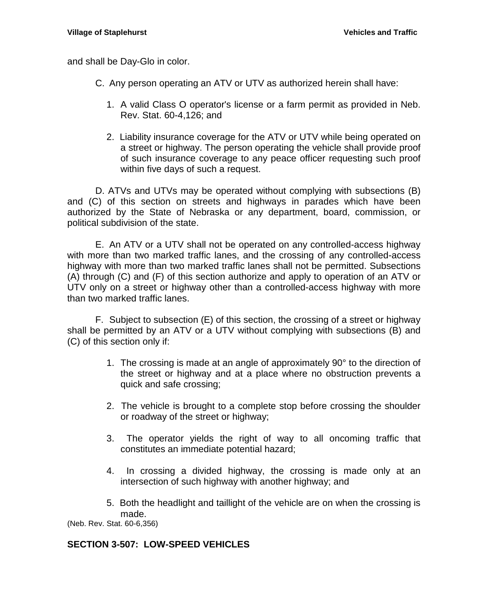and shall be Day-Glo in color.

- C. Any person operating an ATV or UTV as authorized herein shall have:
	- 1. A valid Class O operator's license or a farm permit as provided in Neb. Rev. Stat. 60-4,126; and
	- 2. Liability insurance coverage for the ATV or UTV while being operated on a street or highway. The person operating the vehicle shall provide proof of such insurance coverage to any peace officer requesting such proof within five days of such a request.

D. ATVs and UTVs may be operated without complying with subsections (B) and (C) of this section on streets and highways in parades which have been authorized by the State of Nebraska or any department, board, commission, or political subdivision of the state.

E. An ATV or a UTV shall not be operated on any controlled-access highway with more than two marked traffic lanes, and the crossing of any controlled-access highway with more than two marked traffic lanes shall not be permitted. Subsections (A) through (C) and (F) of this section authorize and apply to operation of an ATV or UTV only on a street or highway other than a controlled-access highway with more than two marked traffic lanes.

F. Subject to subsection (E) of this section, the crossing of a street or highway shall be permitted by an ATV or a UTV without complying with subsections (B) and (C) of this section only if:

- 1. The crossing is made at an angle of approximately 90° to the direction of the street or highway and at a place where no obstruction prevents a quick and safe crossing;
- 2. The vehicle is brought to a complete stop before crossing the shoulder or roadway of the street or highway;
- 3. The operator yields the right of way to all oncoming traffic that constitutes an immediate potential hazard;
- 4. In crossing a divided highway, the crossing is made only at an intersection of such highway with another highway; and
- 5. Both the headlight and taillight of the vehicle are on when the crossing is made.

(Neb. Rev. Stat. 60-6,356)

## <span id="page-26-0"></span>**SECTION 3-507: LOW-SPEED VEHICLES**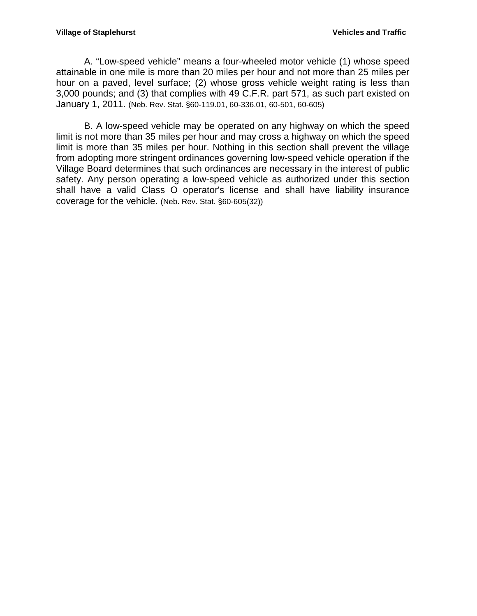A. "Low-speed vehicle" means a four-wheeled motor vehicle (1) whose speed attainable in one mile is more than 20 miles per hour and not more than 25 miles per hour on a paved, level surface; (2) whose gross vehicle weight rating is less than 3,000 pounds; and (3) that complies with 49 C.F.R. part 571, as such part existed on January 1, 2011. (Neb. Rev. Stat. §60-119.01, 60-336.01, 60-501, 60-605)

B. A low-speed vehicle may be operated on any highway on which the speed limit is not more than 35 miles per hour and may cross a highway on which the speed limit is more than 35 miles per hour. Nothing in this section shall prevent the village from adopting more stringent ordinances governing low-speed vehicle operation if the Village Board determines that such ordinances are necessary in the interest of public safety. Any person operating a low-speed vehicle as authorized under this section shall have a valid Class O operator's license and shall have liability insurance coverage for the vehicle. (Neb. Rev. Stat. §60-605(32))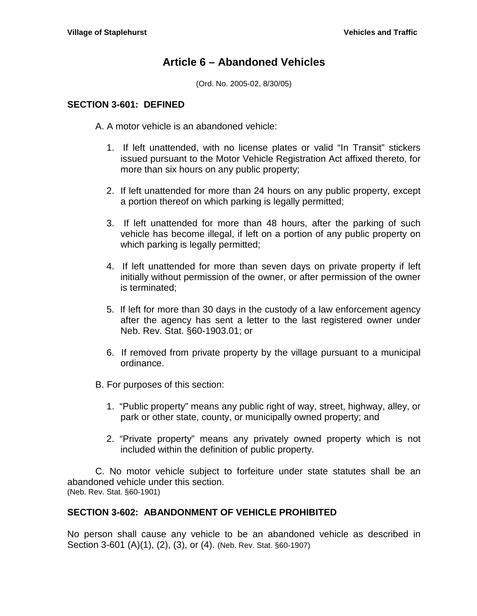## **Article 6 – Abandoned Vehicles**

(Ord. No. 2005-02, 8/30/05)

#### <span id="page-28-1"></span><span id="page-28-0"></span>**SECTION 3-601: DEFINED**

A. A motor vehicle is an abandoned vehicle:

- 1. If left unattended, with no license plates or valid "In Transit" stickers issued pursuant to the Motor Vehicle Registration Act affixed thereto, for more than six hours on any public property;
- 2. If left unattended for more than 24 hours on any public property, except a portion thereof on which parking is legally permitted;
- 3. If left unattended for more than 48 hours, after the parking of such vehicle has become illegal, if left on a portion of any public property on which parking is legally permitted;
- 4. If left unattended for more than seven days on private property if left initially without permission of the owner, or after permission of the owner is terminated;
- 5. If left for more than 30 days in the custody of a law enforcement agency after the agency has sent a letter to the last registered owner under Neb. Rev. Stat. §60-1903.01; or
- 6. If removed from private property by the village pursuant to a municipal ordinance.
- B. For purposes of this section:
	- 1. "Public property" means any public right of way, street, highway, alley, or park or other state, county, or municipally owned property; and
	- 2. "Private property" means any privately owned property which is not included within the definition of public property.

C. No motor vehicle subject to forfeiture under state statutes shall be an abandoned vehicle under this section. (Neb. Rev. Stat. §60-1901)

### <span id="page-28-2"></span>**SECTION 3-602: ABANDONMENT OF VEHICLE PROHIBITED**

No person shall cause any vehicle to be an abandoned vehicle as described in Section 3-601 (A)(1), (2), (3), or (4). (Neb. Rev. Stat. §60-1907)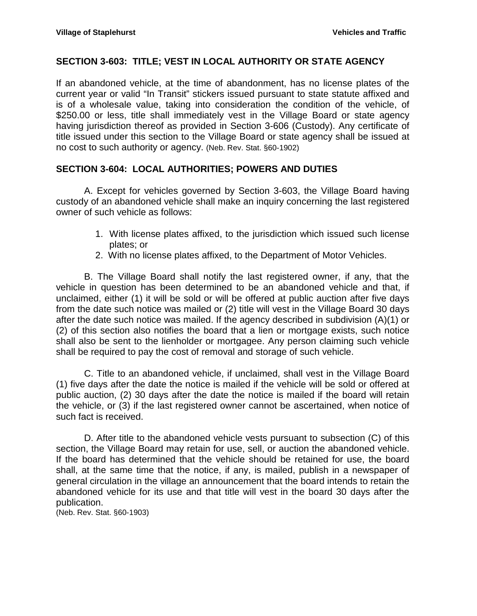## <span id="page-29-0"></span>**SECTION 3-603: TITLE; VEST IN LOCAL AUTHORITY OR STATE AGENCY**

If an abandoned vehicle, at the time of abandonment, has no license plates of the current year or valid "In Transit" stickers issued pursuant to state statute affixed and is of a wholesale value, taking into consideration the condition of the vehicle, of \$250.00 or less, title shall immediately vest in the Village Board or state agency having jurisdiction thereof as provided in Section 3-606 (Custody). Any certificate of title issued under this section to the Village Board or state agency shall be issued at no cost to such authority or agency. (Neb. Rev. Stat. §60-1902)

## <span id="page-29-1"></span>**SECTION 3-604: LOCAL AUTHORITIES; POWERS AND DUTIES**

A. Except for vehicles governed by Section 3-603, the Village Board having custody of an abandoned vehicle shall make an inquiry concerning the last registered owner of such vehicle as follows:

- 1. With license plates affixed, to the jurisdiction which issued such license plates; or
- 2. With no license plates affixed, to the Department of Motor Vehicles.

B. The Village Board shall notify the last registered owner, if any, that the vehicle in question has been determined to be an abandoned vehicle and that, if unclaimed, either (1) it will be sold or will be offered at public auction after five days from the date such notice was mailed or (2) title will vest in the Village Board 30 days after the date such notice was mailed. If the agency described in subdivision (A)(1) or (2) of this section also notifies the board that a lien or mortgage exists, such notice shall also be sent to the lienholder or mortgagee. Any person claiming such vehicle shall be required to pay the cost of removal and storage of such vehicle.

C. Title to an abandoned vehicle, if unclaimed, shall vest in the Village Board (1) five days after the date the notice is mailed if the vehicle will be sold or offered at public auction, (2) 30 days after the date the notice is mailed if the board will retain the vehicle, or (3) if the last registered owner cannot be ascertained, when notice of such fact is received.

D. After title to the abandoned vehicle vests pursuant to subsection (C) of this section, the Village Board may retain for use, sell, or auction the abandoned vehicle. If the board has determined that the vehicle should be retained for use, the board shall, at the same time that the notice, if any, is mailed, publish in a newspaper of general circulation in the village an announcement that the board intends to retain the abandoned vehicle for its use and that title will vest in the board 30 days after the publication.

(Neb. Rev. Stat. §60-1903)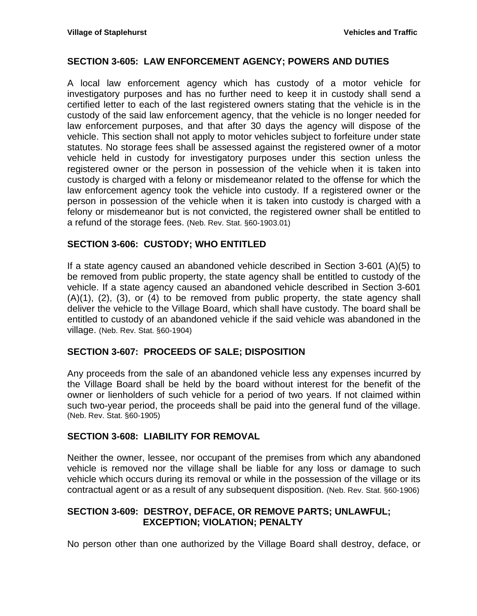### <span id="page-30-0"></span>**SECTION 3-605: LAW ENFORCEMENT AGENCY; POWERS AND DUTIES**

A local law enforcement agency which has custody of a motor vehicle for investigatory purposes and has no further need to keep it in custody shall send a certified letter to each of the last registered owners stating that the vehicle is in the custody of the said law enforcement agency, that the vehicle is no longer needed for law enforcement purposes, and that after 30 days the agency will dispose of the vehicle. This section shall not apply to motor vehicles subject to forfeiture under state statutes. No storage fees shall be assessed against the registered owner of a motor vehicle held in custody for investigatory purposes under this section unless the registered owner or the person in possession of the vehicle when it is taken into custody is charged with a felony or misdemeanor related to the offense for which the law enforcement agency took the vehicle into custody. If a registered owner or the person in possession of the vehicle when it is taken into custody is charged with a felony or misdemeanor but is not convicted, the registered owner shall be entitled to a refund of the storage fees. (Neb. Rev. Stat. §60-1903.01)

### <span id="page-30-1"></span>**SECTION 3-606: CUSTODY; WHO ENTITLED**

If a state agency caused an abandoned vehicle described in Section 3-601 (A)(5) to be removed from public property, the state agency shall be entitled to custody of the vehicle. If a state agency caused an abandoned vehicle described in Section 3-601 (A)(1), (2), (3), or (4) to be removed from public property, the state agency shall deliver the vehicle to the Village Board, which shall have custody. The board shall be entitled to custody of an abandoned vehicle if the said vehicle was abandoned in the village. (Neb. Rev. Stat. §60-1904)

### <span id="page-30-2"></span>**SECTION 3-607: PROCEEDS OF SALE; DISPOSITION**

Any proceeds from the sale of an abandoned vehicle less any expenses incurred by the Village Board shall be held by the board without interest for the benefit of the owner or lienholders of such vehicle for a period of two years. If not claimed within such two-year period, the proceeds shall be paid into the general fund of the village. (Neb. Rev. Stat. §60-1905)

### <span id="page-30-3"></span>**SECTION 3-608: LIABILITY FOR REMOVAL**

Neither the owner, lessee, nor occupant of the premises from which any abandoned vehicle is removed nor the village shall be liable for any loss or damage to such vehicle which occurs during its removal or while in the possession of the village or its contractual agent or as a result of any subsequent disposition. (Neb. Rev. Stat. §60-1906)

### <span id="page-30-4"></span>**SECTION 3-609: DESTROY, DEFACE, OR REMOVE PARTS; UNLAWFUL; EXCEPTION; VIOLATION; PENALTY**

No person other than one authorized by the Village Board shall destroy, deface, or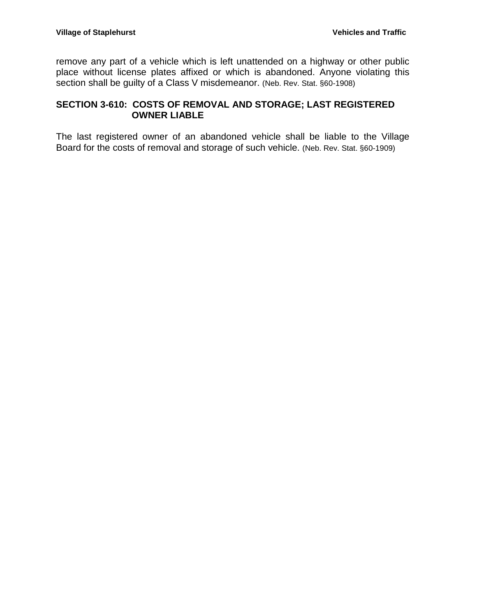remove any part of a vehicle which is left unattended on a highway or other public place without license plates affixed or which is abandoned. Anyone violating this section shall be guilty of a Class V misdemeanor. (Neb. Rev. Stat. §60-1908)

## <span id="page-31-0"></span>**SECTION 3-610: COSTS OF REMOVAL AND STORAGE; LAST REGISTERED OWNER LIABLE**

The last registered owner of an abandoned vehicle shall be liable to the Village Board for the costs of removal and storage of such vehicle. (Neb. Rev. Stat. §60-1909)